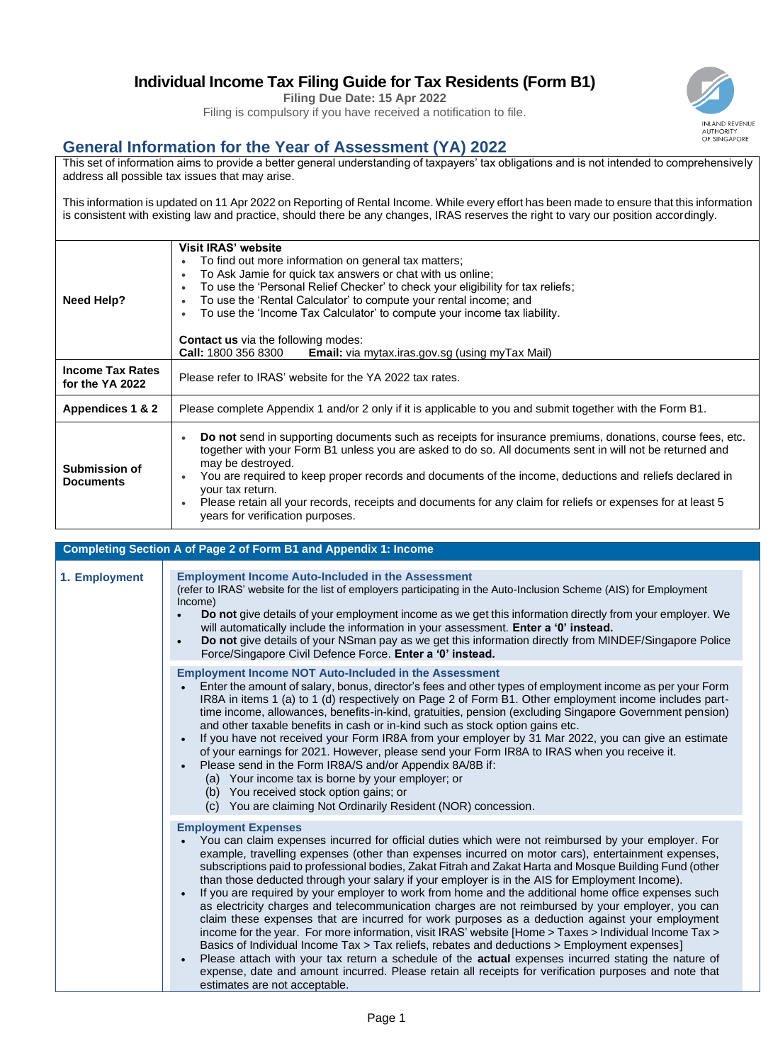## **Individual Income Tax Filing Guide for Tax Residents (Form B1)**

**Filing Due Date: 15 Apr 2022**

Filing is compulsory if you have received a notification to file.

## **General Information for the Year of Assessment (YA) 2022**

This set of information aims to provide a better general understanding of taxpayers' tax obligations and is not intended to comprehensively address all possible tax issues that may arise.

This information is updated on 11 Apr 2022 on Reporting of Rental Income. While every effort has been made to ensure that this information is consistent with existing law and practice, should there be any changes, IRAS reserves the right to vary our position accordingly.

|                                            | <b>Visit IRAS' website</b><br>To find out more information on general tax matters;                                                                                                                                                                                                                                                                                                                                                                                                                                                                     |
|--------------------------------------------|--------------------------------------------------------------------------------------------------------------------------------------------------------------------------------------------------------------------------------------------------------------------------------------------------------------------------------------------------------------------------------------------------------------------------------------------------------------------------------------------------------------------------------------------------------|
| Need Help?                                 | To Ask Jamie for quick tax answers or chat with us online;<br>$\bullet$<br>To use the 'Personal Relief Checker' to check your eligibility for tax reliefs;<br>To use the 'Rental Calculator' to compute your rental income; and<br>To use the 'Income Tax Calculator' to compute your income tax liability.                                                                                                                                                                                                                                            |
|                                            | <b>Contact us</b> via the following modes:<br><b>Call:</b> 1800 356 8300<br><b>Email:</b> via mytax.iras.gov.sg (using myTax Mail)                                                                                                                                                                                                                                                                                                                                                                                                                     |
| <b>Income Tax Rates</b><br>for the YA 2022 | Please refer to IRAS' website for the YA 2022 tax rates.                                                                                                                                                                                                                                                                                                                                                                                                                                                                                               |
| Appendices 1 & 2                           | Please complete Appendix 1 and/or 2 only if it is applicable to you and submit together with the Form B1.                                                                                                                                                                                                                                                                                                                                                                                                                                              |
| Submission of<br><b>Documents</b>          | Do not send in supporting documents such as receipts for insurance premiums, donations, course fees, etc.<br>$\bullet$<br>together with your Form B1 unless you are asked to do so. All documents sent in will not be returned and<br>may be destroyed.<br>You are required to keep proper records and documents of the income, deductions and reliefs declared in<br>your tax return.<br>Please retain all your records, receipts and documents for any claim for reliefs or expenses for at least 5<br>$\bullet$<br>years for verification purposes. |

|               | <b>Completing Section A of Page 2 of Form B1 and Appendix 1: Income</b>                                                                                                                                                                                                                                                                                                                                                                                                                                                                                                                                                                                                                                                                                                                                                                                                                                                                                                                                                                                                                                                                                                                                                                                  |
|---------------|----------------------------------------------------------------------------------------------------------------------------------------------------------------------------------------------------------------------------------------------------------------------------------------------------------------------------------------------------------------------------------------------------------------------------------------------------------------------------------------------------------------------------------------------------------------------------------------------------------------------------------------------------------------------------------------------------------------------------------------------------------------------------------------------------------------------------------------------------------------------------------------------------------------------------------------------------------------------------------------------------------------------------------------------------------------------------------------------------------------------------------------------------------------------------------------------------------------------------------------------------------|
| 1. Employment | <b>Employment Income Auto-Included in the Assessment</b><br>(refer to IRAS' website for the list of employers participating in the Auto-Inclusion Scheme (AIS) for Employment<br>Income)<br>Do not give details of your employment income as we get this information directly from your employer. We<br>will automatically include the information in your assessment. Enter a '0' instead.<br>Do not give details of your NSman pay as we get this information directly from MINDEF/Singapore Police<br>$\bullet$<br>Force/Singapore Civil Defence Force. Enter a '0' instead.                                                                                                                                                                                                                                                                                                                                                                                                                                                                                                                                                                                                                                                                          |
|               | <b>Employment Income NOT Auto-Included in the Assessment</b><br>Enter the amount of salary, bonus, director's fees and other types of employment income as per your Form<br>IR8A in items 1 (a) to 1 (d) respectively on Page 2 of Form B1. Other employment income includes part-<br>time income, allowances, benefits-in-kind, gratuities, pension (excluding Singapore Government pension)<br>and other taxable benefits in cash or in-kind such as stock option gains etc.<br>If you have not received your Form IR8A from your employer by 31 Mar 2022, you can give an estimate<br>$\bullet$<br>of your earnings for 2021. However, please send your Form IR8A to IRAS when you receive it.<br>Please send in the Form IR8A/S and/or Appendix 8A/8B if:<br>$\bullet$<br>(a) Your income tax is borne by your employer; or<br>(b) You received stock option gains; or<br>(c) You are claiming Not Ordinarily Resident (NOR) concession.                                                                                                                                                                                                                                                                                                             |
|               | <b>Employment Expenses</b><br>You can claim expenses incurred for official duties which were not reimbursed by your employer. For<br>example, travelling expenses (other than expenses incurred on motor cars), entertainment expenses,<br>subscriptions paid to professional bodies, Zakat Fitrah and Zakat Harta and Mosque Building Fund (other<br>than those deducted through your salary if your employer is in the AIS for Employment Income).<br>If you are required by your employer to work from home and the additional home office expenses such<br>$\bullet$<br>as electricity charges and telecommunication charges are not reimbursed by your employer, you can<br>claim these expenses that are incurred for work purposes as a deduction against your employment<br>income for the year. For more information, visit IRAS' website [Home > Taxes > Individual Income Tax ><br>Basics of Individual Income Tax > Tax reliefs, rebates and deductions > Employment expenses]<br>Please attach with your tax return a schedule of the actual expenses incurred stating the nature of<br>$\bullet$<br>expense, date and amount incurred. Please retain all receipts for verification purposes and note that<br>estimates are not acceptable. |

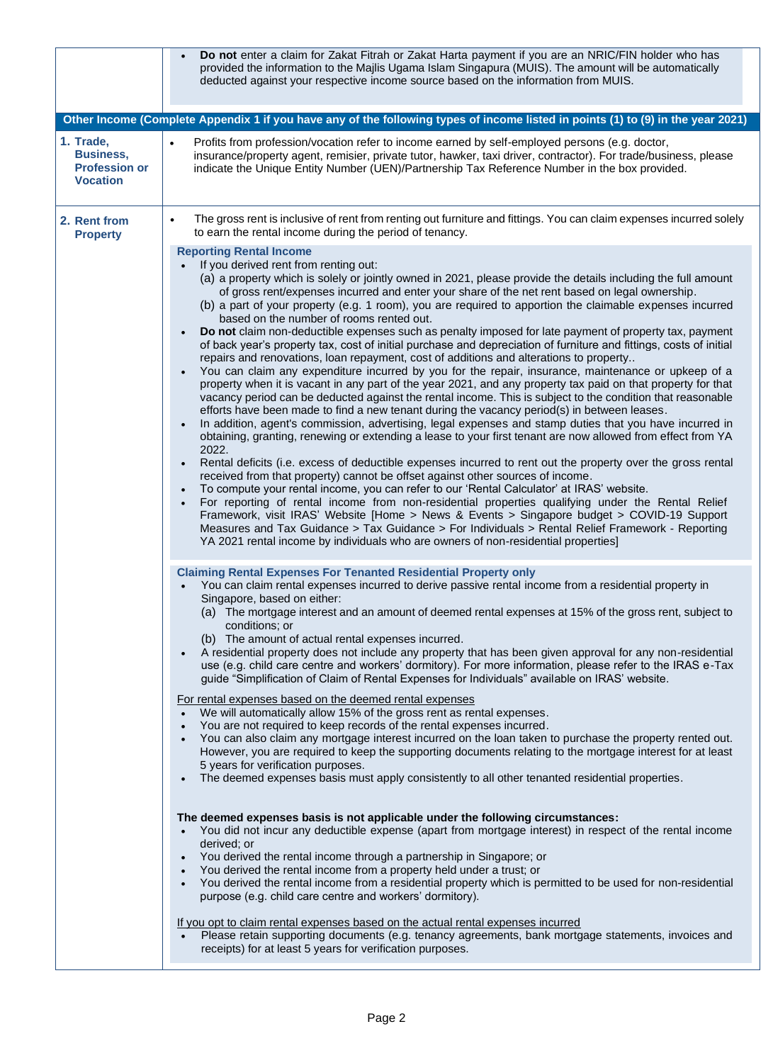|                                                                          | Do not enter a claim for Zakat Fitrah or Zakat Harta payment if you are an NRIC/FIN holder who has<br>provided the information to the Majlis Ugama Islam Singapura (MUIS). The amount will be automatically<br>deducted against your respective income source based on the information from MUIS.                                                                                                                                                                                                                                                                                                                                                                                                                                                                                                                                                                                                                                                                                                                                                                                                                                                                                                                                                                                                                                                                                                                                                                                                                                                                                                                                                                                                                                                                                                                                                                                                                                                                                                                                                                                                                                                                                     |
|--------------------------------------------------------------------------|---------------------------------------------------------------------------------------------------------------------------------------------------------------------------------------------------------------------------------------------------------------------------------------------------------------------------------------------------------------------------------------------------------------------------------------------------------------------------------------------------------------------------------------------------------------------------------------------------------------------------------------------------------------------------------------------------------------------------------------------------------------------------------------------------------------------------------------------------------------------------------------------------------------------------------------------------------------------------------------------------------------------------------------------------------------------------------------------------------------------------------------------------------------------------------------------------------------------------------------------------------------------------------------------------------------------------------------------------------------------------------------------------------------------------------------------------------------------------------------------------------------------------------------------------------------------------------------------------------------------------------------------------------------------------------------------------------------------------------------------------------------------------------------------------------------------------------------------------------------------------------------------------------------------------------------------------------------------------------------------------------------------------------------------------------------------------------------------------------------------------------------------------------------------------------------|
|                                                                          | Other Income (Complete Appendix 1 if you have any of the following types of income listed in points (1) to (9) in the year 2021)                                                                                                                                                                                                                                                                                                                                                                                                                                                                                                                                                                                                                                                                                                                                                                                                                                                                                                                                                                                                                                                                                                                                                                                                                                                                                                                                                                                                                                                                                                                                                                                                                                                                                                                                                                                                                                                                                                                                                                                                                                                      |
| 1. Trade,<br><b>Business,</b><br><b>Profession or</b><br><b>Vocation</b> | Profits from profession/vocation refer to income earned by self-employed persons (e.g. doctor,<br>$\bullet$<br>insurance/property agent, remisier, private tutor, hawker, taxi driver, contractor). For trade/business, please<br>indicate the Unique Entity Number (UEN)/Partnership Tax Reference Number in the box provided.                                                                                                                                                                                                                                                                                                                                                                                                                                                                                                                                                                                                                                                                                                                                                                                                                                                                                                                                                                                                                                                                                                                                                                                                                                                                                                                                                                                                                                                                                                                                                                                                                                                                                                                                                                                                                                                       |
| 2. Rent from<br><b>Property</b>                                          | The gross rent is inclusive of rent from renting out furniture and fittings. You can claim expenses incurred solely<br>$\bullet$<br>to earn the rental income during the period of tenancy.                                                                                                                                                                                                                                                                                                                                                                                                                                                                                                                                                                                                                                                                                                                                                                                                                                                                                                                                                                                                                                                                                                                                                                                                                                                                                                                                                                                                                                                                                                                                                                                                                                                                                                                                                                                                                                                                                                                                                                                           |
|                                                                          | <b>Reporting Rental Income</b><br>If you derived rent from renting out:<br>$\bullet$<br>(a) a property which is solely or jointly owned in 2021, please provide the details including the full amount<br>of gross rent/expenses incurred and enter your share of the net rent based on legal ownership.<br>(b) a part of your property (e.g. 1 room), you are required to apportion the claimable expenses incurred<br>based on the number of rooms rented out.<br>Do not claim non-deductible expenses such as penalty imposed for late payment of property tax, payment<br>of back year's property tax, cost of initial purchase and depreciation of furniture and fittings, costs of initial<br>repairs and renovations, loan repayment, cost of additions and alterations to property<br>You can claim any expenditure incurred by you for the repair, insurance, maintenance or upkeep of a<br>$\bullet$<br>property when it is vacant in any part of the year 2021, and any property tax paid on that property for that<br>vacancy period can be deducted against the rental income. This is subject to the condition that reasonable<br>efforts have been made to find a new tenant during the vacancy period(s) in between leases.<br>In addition, agent's commission, advertising, legal expenses and stamp duties that you have incurred in<br>obtaining, granting, renewing or extending a lease to your first tenant are now allowed from effect from YA<br>2022.<br>Rental deficits (i.e. excess of deductible expenses incurred to rent out the property over the gross rental<br>received from that property) cannot be offset against other sources of income.<br>To compute your rental income, you can refer to our 'Rental Calculator' at IRAS' website.<br>$\bullet$<br>For reporting of rental income from non-residential properties qualifying under the Rental Relief<br>Framework, visit IRAS' Website [Home > News & Events > Singapore budget > COVID-19 Support<br>Measures and Tax Guidance > Tax Guidance > For Individuals > Rental Relief Framework - Reporting<br>YA 2021 rental income by individuals who are owners of non-residential properties] |
|                                                                          | <b>Claiming Rental Expenses For Tenanted Residential Property only</b><br>You can claim rental expenses incurred to derive passive rental income from a residential property in<br>Singapore, based on either:<br>(a) The mortgage interest and an amount of deemed rental expenses at 15% of the gross rent, subject to<br>conditions; or<br>(b) The amount of actual rental expenses incurred.<br>A residential property does not include any property that has been given approval for any non-residential<br>use (e.g. child care centre and workers' dormitory). For more information, please refer to the IRAS e-Tax<br>guide "Simplification of Claim of Rental Expenses for Individuals" available on IRAS' website.<br>For rental expenses based on the deemed rental expenses<br>We will automatically allow 15% of the gross rent as rental expenses.<br>$\bullet$<br>You are not required to keep records of the rental expenses incurred.<br>$\bullet$<br>You can also claim any mortgage interest incurred on the loan taken to purchase the property rented out.<br>However, you are required to keep the supporting documents relating to the mortgage interest for at least<br>5 years for verification purposes.<br>The deemed expenses basis must apply consistently to all other tenanted residential properties.<br>The deemed expenses basis is not applicable under the following circumstances:<br>You did not incur any deductible expense (apart from mortgage interest) in respect of the rental income<br>derived; or<br>You derived the rental income through a partnership in Singapore; or<br>You derived the rental income from a property held under a trust; or<br>$\bullet$<br>You derived the rental income from a residential property which is permitted to be used for non-residential<br>purpose (e.g. child care centre and workers' dormitory).<br>If you opt to claim rental expenses based on the actual rental expenses incurred                                                                                                                                                                                                         |
|                                                                          | Please retain supporting documents (e.g. tenancy agreements, bank mortgage statements, invoices and<br>$\bullet$<br>receipts) for at least 5 years for verification purposes.                                                                                                                                                                                                                                                                                                                                                                                                                                                                                                                                                                                                                                                                                                                                                                                                                                                                                                                                                                                                                                                                                                                                                                                                                                                                                                                                                                                                                                                                                                                                                                                                                                                                                                                                                                                                                                                                                                                                                                                                         |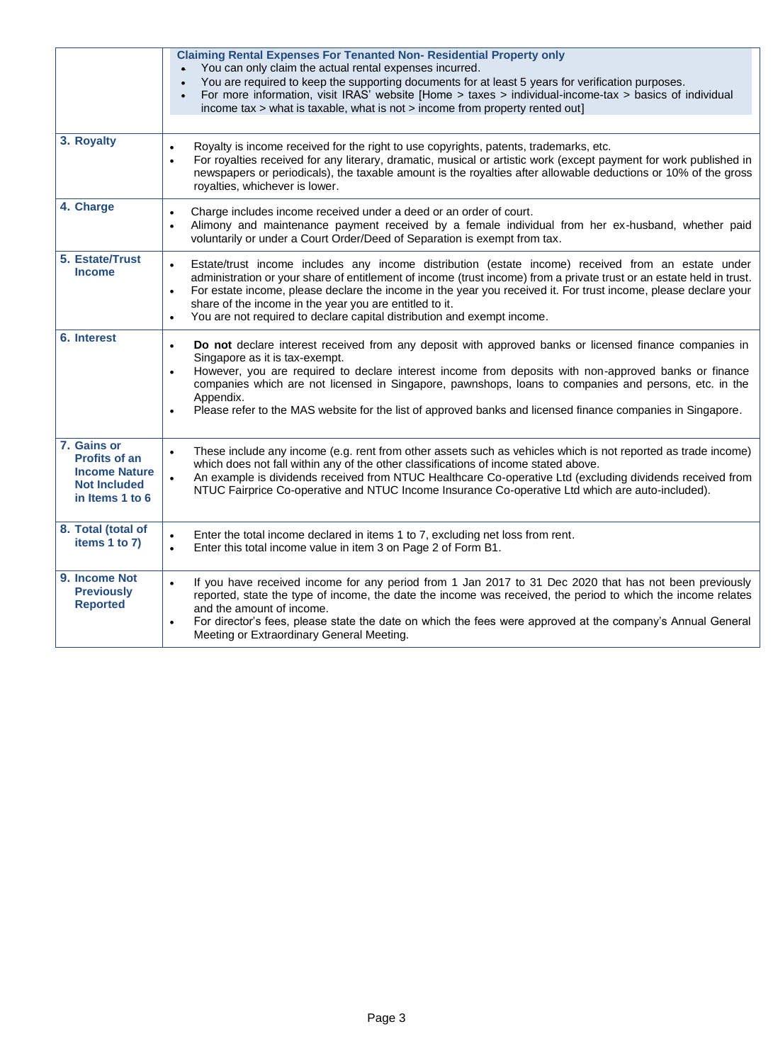|                                                                                                       | <b>Claiming Rental Expenses For Tenanted Non- Residential Property only</b><br>You can only claim the actual rental expenses incurred.<br>You are required to keep the supporting documents for at least 5 years for verification purposes.<br>$\bullet$<br>For more information, visit IRAS' website [Home > taxes > individual-income-tax > basics of individual<br>$\bullet$<br>income tax > what is taxable, what is not > income from property rented out]                                                               |
|-------------------------------------------------------------------------------------------------------|-------------------------------------------------------------------------------------------------------------------------------------------------------------------------------------------------------------------------------------------------------------------------------------------------------------------------------------------------------------------------------------------------------------------------------------------------------------------------------------------------------------------------------|
| 3. Royalty                                                                                            | Royalty is income received for the right to use copyrights, patents, trademarks, etc.<br>$\bullet$<br>For royalties received for any literary, dramatic, musical or artistic work (except payment for work published in<br>$\bullet$<br>newspapers or periodicals), the taxable amount is the royalties after allowable deductions or 10% of the gross<br>royalties, whichever is lower.                                                                                                                                      |
| 4. Charge                                                                                             | Charge includes income received under a deed or an order of court.<br>$\bullet$<br>Alimony and maintenance payment received by a female individual from her ex-husband, whether paid<br>$\bullet$<br>voluntarily or under a Court Order/Deed of Separation is exempt from tax.                                                                                                                                                                                                                                                |
| 5. Estate/Trust<br><b>Income</b>                                                                      | Estate/trust income includes any income distribution (estate income) received from an estate under<br>$\bullet$<br>administration or your share of entitlement of income (trust income) from a private trust or an estate held in trust.<br>For estate income, please declare the income in the year you received it. For trust income, please declare your<br>$\bullet$<br>share of the income in the year you are entitled to it.<br>You are not required to declare capital distribution and exempt income.<br>$\bullet$   |
| 6. Interest                                                                                           | Do not declare interest received from any deposit with approved banks or licensed finance companies in<br>$\bullet$<br>Singapore as it is tax-exempt.<br>However, you are required to declare interest income from deposits with non-approved banks or finance<br>$\bullet$<br>companies which are not licensed in Singapore, pawnshops, loans to companies and persons, etc. in the<br>Appendix.<br>Please refer to the MAS website for the list of approved banks and licensed finance companies in Singapore.<br>$\bullet$ |
| 7. Gains or<br><b>Profits of an</b><br><b>Income Nature</b><br><b>Not Included</b><br>in Items 1 to 6 | These include any income (e.g. rent from other assets such as vehicles which is not reported as trade income)<br>$\bullet$<br>which does not fall within any of the other classifications of income stated above.<br>An example is dividends received from NTUC Healthcare Co-operative Ltd (excluding dividends received from<br>$\bullet$<br>NTUC Fairprice Co-operative and NTUC Income Insurance Co-operative Ltd which are auto-included).                                                                               |
| 8. Total (total of<br>items 1 to 7)                                                                   | Enter the total income declared in items 1 to 7, excluding net loss from rent.<br>$\bullet$<br>Enter this total income value in item 3 on Page 2 of Form B1.<br>$\bullet$                                                                                                                                                                                                                                                                                                                                                     |
| 9. Income Not<br><b>Previously</b><br><b>Reported</b>                                                 | If you have received income for any period from 1 Jan 2017 to 31 Dec 2020 that has not been previously<br>$\bullet$<br>reported, state the type of income, the date the income was received, the period to which the income relates<br>and the amount of income.<br>For director's fees, please state the date on which the fees were approved at the company's Annual General<br>$\bullet$<br>Meeting or Extraordinary General Meeting.                                                                                      |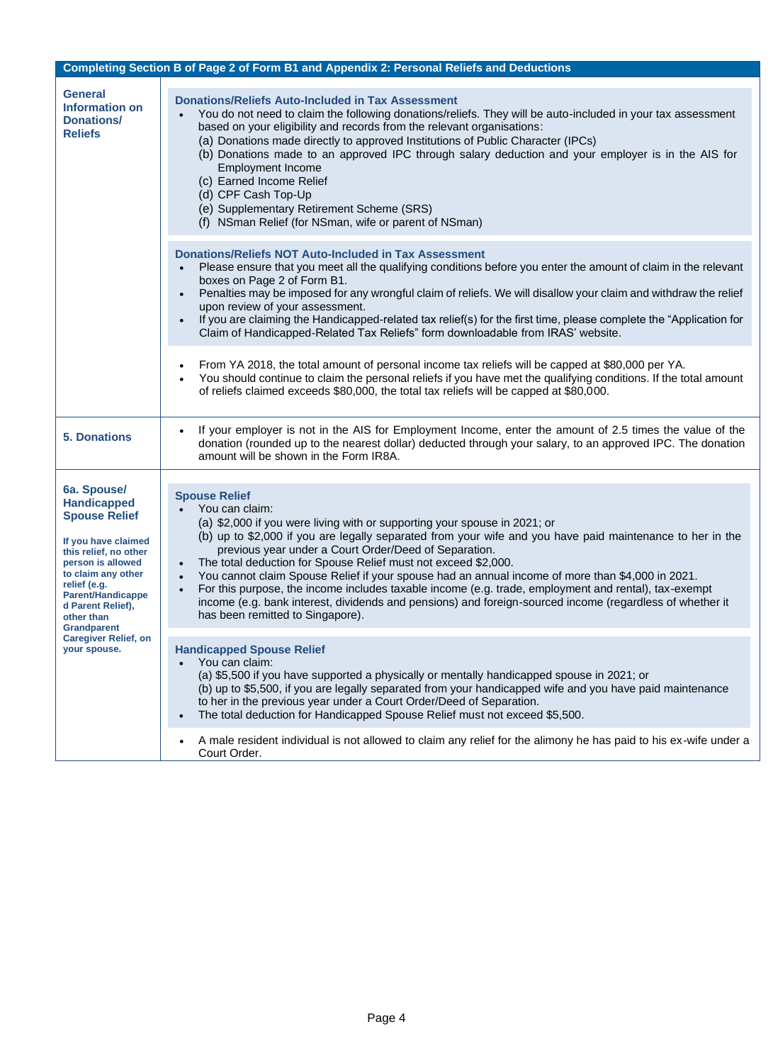|                                                                                                                                                                                                                                                           | Completing Section B of Page 2 of Form B1 and Appendix 2: Personal Reliefs and Deductions                                                                                                                                                                                                                                                                                                                                                                                                                                                                                                                                                                                                                                                                      |
|-----------------------------------------------------------------------------------------------------------------------------------------------------------------------------------------------------------------------------------------------------------|----------------------------------------------------------------------------------------------------------------------------------------------------------------------------------------------------------------------------------------------------------------------------------------------------------------------------------------------------------------------------------------------------------------------------------------------------------------------------------------------------------------------------------------------------------------------------------------------------------------------------------------------------------------------------------------------------------------------------------------------------------------|
| <b>General</b><br><b>Information on</b><br>Donations/<br><b>Reliefs</b>                                                                                                                                                                                   | <b>Donations/Reliefs Auto-Included in Tax Assessment</b><br>You do not need to claim the following donations/reliefs. They will be auto-included in your tax assessment<br>$\bullet$<br>based on your eligibility and records from the relevant organisations:<br>(a) Donations made directly to approved Institutions of Public Character (IPCs)<br>(b) Donations made to an approved IPC through salary deduction and your employer is in the AIS for<br><b>Employment Income</b><br>(c) Earned Income Relief<br>(d) CPF Cash Top-Up<br>(e) Supplementary Retirement Scheme (SRS)<br>(f) NSman Relief (for NSman, wife or parent of NSman)                                                                                                                   |
|                                                                                                                                                                                                                                                           | <b>Donations/Reliefs NOT Auto-Included in Tax Assessment</b><br>Please ensure that you meet all the qualifying conditions before you enter the amount of claim in the relevant<br>boxes on Page 2 of Form B1.<br>Penalties may be imposed for any wrongful claim of reliefs. We will disallow your claim and withdraw the relief<br>$\bullet$<br>upon review of your assessment.<br>If you are claiming the Handicapped-related tax relief(s) for the first time, please complete the "Application for<br>$\bullet$<br>Claim of Handicapped-Related Tax Reliefs" form downloadable from IRAS' website.                                                                                                                                                         |
|                                                                                                                                                                                                                                                           | From YA 2018, the total amount of personal income tax reliefs will be capped at \$80,000 per YA.<br>$\bullet$<br>You should continue to claim the personal reliefs if you have met the qualifying conditions. If the total amount<br>of reliefs claimed exceeds \$80,000, the total tax reliefs will be capped at \$80,000.                                                                                                                                                                                                                                                                                                                                                                                                                                    |
| <b>5. Donations</b>                                                                                                                                                                                                                                       | If your employer is not in the AIS for Employment Income, enter the amount of 2.5 times the value of the<br>donation (rounded up to the nearest dollar) deducted through your salary, to an approved IPC. The donation<br>amount will be shown in the Form IR8A.                                                                                                                                                                                                                                                                                                                                                                                                                                                                                               |
| 6a. Spouse/<br><b>Handicapped</b><br><b>Spouse Relief</b><br>If you have claimed<br>this relief, no other<br>person is allowed<br>to claim any other<br>relief (e.g.<br><b>Parent/Handicappe</b><br>d Parent Relief),<br>other than<br><b>Grandparent</b> | <b>Spouse Relief</b><br>You can claim:<br>(a) \$2,000 if you were living with or supporting your spouse in 2021; or<br>(b) up to \$2,000 if you are legally separated from your wife and you have paid maintenance to her in the<br>previous year under a Court Order/Deed of Separation.<br>The total deduction for Spouse Relief must not exceed \$2,000.<br>$\bullet$<br>You cannot claim Spouse Relief if your spouse had an annual income of more than \$4,000 in 2021.<br>$\bullet$<br>For this purpose, the income includes taxable income (e.g. trade, employment and rental), tax-exempt<br>$\bullet$<br>income (e.g. bank interest, dividends and pensions) and foreign-sourced income (regardless of whether it<br>has been remitted to Singapore). |
| <b>Caregiver Relief, on</b><br>your spouse.                                                                                                                                                                                                               | <b>Handicapped Spouse Relief</b><br>You can claim:<br>$\bullet$<br>(a) \$5,500 if you have supported a physically or mentally handicapped spouse in 2021; or<br>(b) up to \$5,500, if you are legally separated from your handicapped wife and you have paid maintenance<br>to her in the previous year under a Court Order/Deed of Separation.<br>The total deduction for Handicapped Spouse Relief must not exceed \$5,500.                                                                                                                                                                                                                                                                                                                                  |
|                                                                                                                                                                                                                                                           | A male resident individual is not allowed to claim any relief for the alimony he has paid to his ex-wife under a<br>Court Order.                                                                                                                                                                                                                                                                                                                                                                                                                                                                                                                                                                                                                               |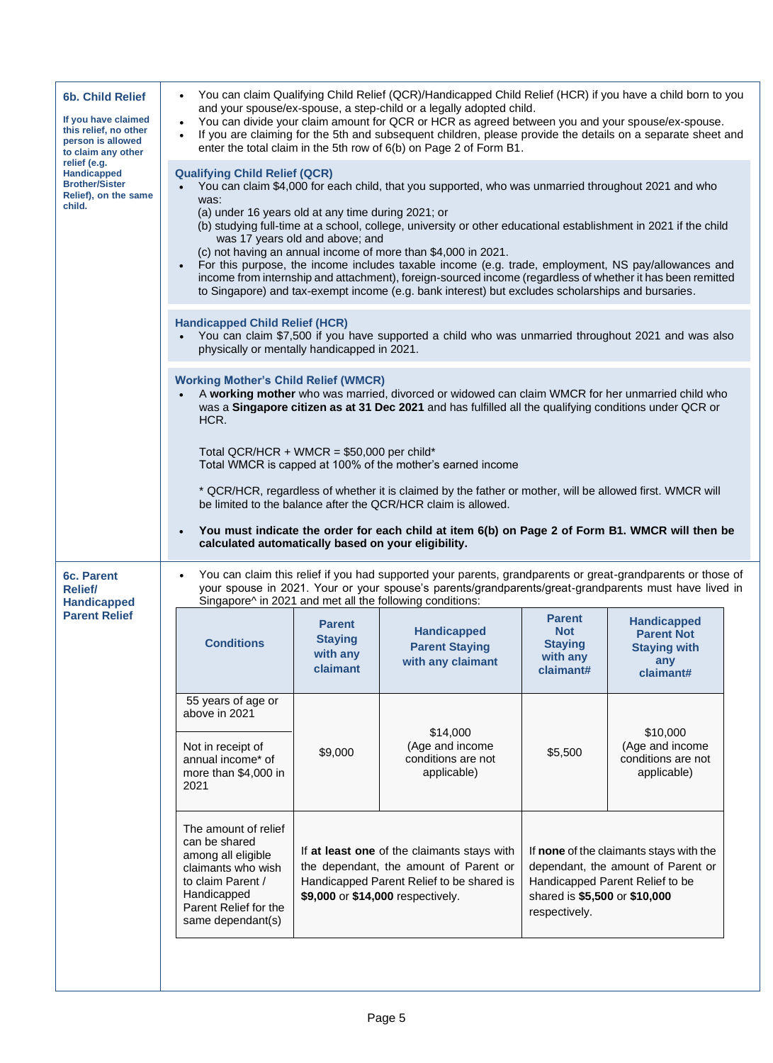| <b>6b. Child Relief</b><br>If you have claimed<br>this relief, no other<br>person is allowed<br>to claim any other<br>relief (e.g.<br><b>Handicapped</b><br><b>Brother/Sister</b><br>Relief), on the same<br>child. |                                                                                                                                                                                                                                                                                                                                                                                                                                                                                                                                                                                                                                                                                                                                                                         |                                                                                                                                                                                                                                                                                                                                               | You can claim Qualifying Child Relief (QCR)/Handicapped Child Relief (HCR) if you have a child born to you<br>and your spouse/ex-spouse, a step-child or a legally adopted child.<br>You can divide your claim amount for QCR or HCR as agreed between you and your spouse/ex-spouse.<br>If you are claiming for the 5th and subsequent children, please provide the details on a separate sheet and<br>enter the total claim in the 5th row of 6(b) on Page 2 of Form B1. |                                                                        |                                                                                    |  |
|---------------------------------------------------------------------------------------------------------------------------------------------------------------------------------------------------------------------|-------------------------------------------------------------------------------------------------------------------------------------------------------------------------------------------------------------------------------------------------------------------------------------------------------------------------------------------------------------------------------------------------------------------------------------------------------------------------------------------------------------------------------------------------------------------------------------------------------------------------------------------------------------------------------------------------------------------------------------------------------------------------|-----------------------------------------------------------------------------------------------------------------------------------------------------------------------------------------------------------------------------------------------------------------------------------------------------------------------------------------------|----------------------------------------------------------------------------------------------------------------------------------------------------------------------------------------------------------------------------------------------------------------------------------------------------------------------------------------------------------------------------------------------------------------------------------------------------------------------------|------------------------------------------------------------------------|------------------------------------------------------------------------------------|--|
|                                                                                                                                                                                                                     | <b>Qualifying Child Relief (QCR)</b><br>You can claim \$4,000 for each child, that you supported, who was unmarried throughout 2021 and who<br>was:<br>(a) under 16 years old at any time during 2021; or<br>(b) studying full-time at a school, college, university or other educational establishment in 2021 if the child<br>was 17 years old and above; and<br>(c) not having an annual income of more than \$4,000 in 2021.<br>For this purpose, the income includes taxable income (e.g. trade, employment, NS pay/allowances and<br>$\bullet$<br>income from internship and attachment), foreign-sourced income (regardless of whether it has been remitted<br>to Singapore) and tax-exempt income (e.g. bank interest) but excludes scholarships and bursaries. |                                                                                                                                                                                                                                                                                                                                               |                                                                                                                                                                                                                                                                                                                                                                                                                                                                            |                                                                        |                                                                                    |  |
|                                                                                                                                                                                                                     | <b>Handicapped Child Relief (HCR)</b>                                                                                                                                                                                                                                                                                                                                                                                                                                                                                                                                                                                                                                                                                                                                   | You can claim \$7,500 if you have supported a child who was unmarried throughout 2021 and was also<br>physically or mentally handicapped in 2021.                                                                                                                                                                                             |                                                                                                                                                                                                                                                                                                                                                                                                                                                                            |                                                                        |                                                                                    |  |
|                                                                                                                                                                                                                     | <b>Working Mother's Child Relief (WMCR)</b><br>A working mother who was married, divorced or widowed can claim WMCR for her unmarried child who<br>was a Singapore citizen as at 31 Dec 2021 and has fulfilled all the qualifying conditions under QCR or<br>HCR.<br>Total QCR/HCR + WMCR = $$50,000$ per child*<br>Total WMCR is capped at 100% of the mother's earned income<br>* QCR/HCR, regardless of whether it is claimed by the father or mother, will be allowed first. WMCR will<br>be limited to the balance after the QCR/HCR claim is allowed.<br>You must indicate the order for each child at item 6(b) on Page 2 of Form B1. WMCR will then be<br>calculated automatically based on your eligibility.                                                   |                                                                                                                                                                                                                                                                                                                                               |                                                                                                                                                                                                                                                                                                                                                                                                                                                                            |                                                                        |                                                                                    |  |
| 6c. Parent<br><b>Relief/</b><br><b>Handicapped</b>                                                                                                                                                                  | You can claim this relief if you had supported your parents, grandparents or great-grandparents or those of<br>your spouse in 2021. Your or your spouse's parents/grandparents/great-grandparents must have lived in<br>Singapore^ in 2021 and met all the following conditions:                                                                                                                                                                                                                                                                                                                                                                                                                                                                                        |                                                                                                                                                                                                                                                                                                                                               |                                                                                                                                                                                                                                                                                                                                                                                                                                                                            |                                                                        |                                                                                    |  |
| <b>Parent Relief</b>                                                                                                                                                                                                | <b>Conditions</b>                                                                                                                                                                                                                                                                                                                                                                                                                                                                                                                                                                                                                                                                                                                                                       | <b>Parent</b><br><b>Staying</b><br>with any<br>claimant                                                                                                                                                                                                                                                                                       | <b>Handicapped</b><br><b>Parent Staying</b><br>with any claimant                                                                                                                                                                                                                                                                                                                                                                                                           | <b>Parent</b><br><b>Not</b><br><b>Staying</b><br>with any<br>claimant# | <b>Handicapped</b><br><b>Parent Not</b><br><b>Staying with</b><br>any<br>claimant# |  |
|                                                                                                                                                                                                                     | 55 years of age or<br>above in 2021<br>Not in receipt of<br>annual income* of<br>more than \$4,000 in<br>2021                                                                                                                                                                                                                                                                                                                                                                                                                                                                                                                                                                                                                                                           | \$9,000                                                                                                                                                                                                                                                                                                                                       | \$14,000<br>(Age and income<br>conditions are not<br>applicable)                                                                                                                                                                                                                                                                                                                                                                                                           | \$5,500                                                                | \$10,000<br>(Age and income<br>conditions are not<br>applicable)                   |  |
|                                                                                                                                                                                                                     | The amount of relief<br>can be shared<br>among all eligible<br>claimants who wish<br>to claim Parent /<br>Handicapped<br>Parent Relief for the<br>same dependant(s)                                                                                                                                                                                                                                                                                                                                                                                                                                                                                                                                                                                                     | If at least one of the claimants stays with<br>If none of the claimants stays with the<br>the dependant, the amount of Parent or<br>dependant, the amount of Parent or<br>Handicapped Parent Relief to be shared is<br>Handicapped Parent Relief to be<br>\$9,000 or \$14,000 respectively.<br>shared is \$5,500 or \$10,000<br>respectively. |                                                                                                                                                                                                                                                                                                                                                                                                                                                                            |                                                                        |                                                                                    |  |
|                                                                                                                                                                                                                     |                                                                                                                                                                                                                                                                                                                                                                                                                                                                                                                                                                                                                                                                                                                                                                         |                                                                                                                                                                                                                                                                                                                                               |                                                                                                                                                                                                                                                                                                                                                                                                                                                                            |                                                                        |                                                                                    |  |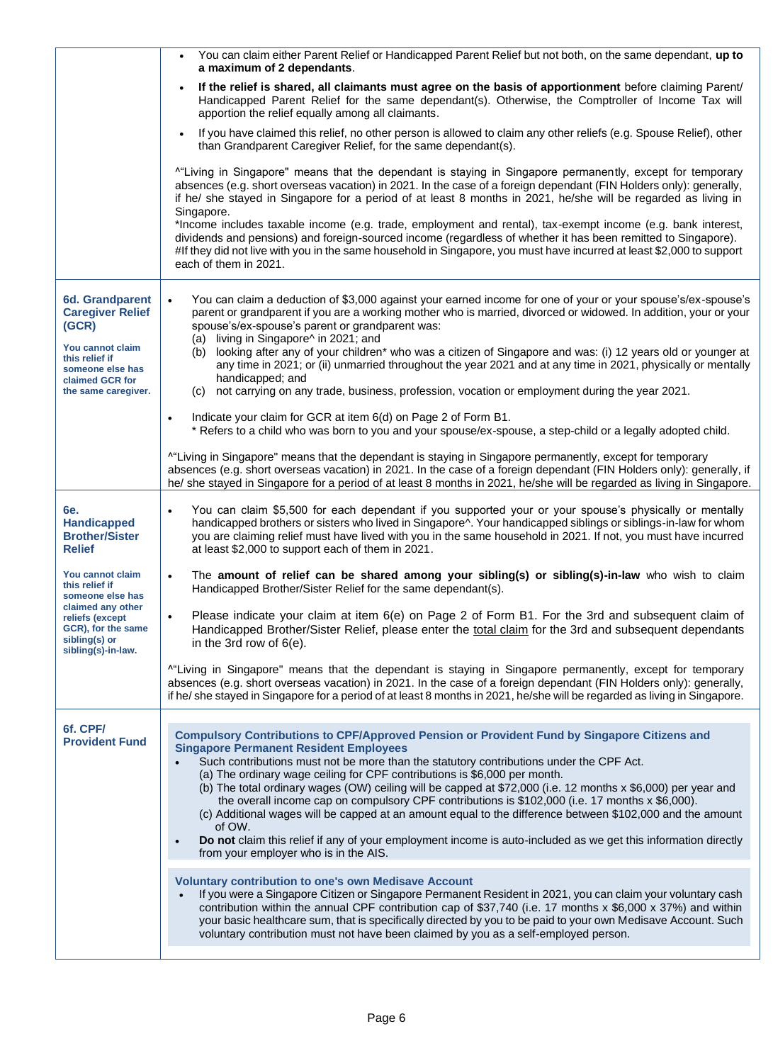|                                                                                                   | You can claim either Parent Relief or Handicapped Parent Relief but not both, on the same dependant, up to<br>$\bullet$<br>a maximum of 2 dependants.                                                                                                                                                                                                                                                                                                                                                                                                                                                                                                                                                                                                                                                                                |
|---------------------------------------------------------------------------------------------------|--------------------------------------------------------------------------------------------------------------------------------------------------------------------------------------------------------------------------------------------------------------------------------------------------------------------------------------------------------------------------------------------------------------------------------------------------------------------------------------------------------------------------------------------------------------------------------------------------------------------------------------------------------------------------------------------------------------------------------------------------------------------------------------------------------------------------------------|
|                                                                                                   | If the relief is shared, all claimants must agree on the basis of apportionment before claiming Parent/<br>$\bullet$<br>Handicapped Parent Relief for the same dependant(s). Otherwise, the Comptroller of Income Tax will<br>apportion the relief equally among all claimants.                                                                                                                                                                                                                                                                                                                                                                                                                                                                                                                                                      |
|                                                                                                   | If you have claimed this relief, no other person is allowed to claim any other reliefs (e.g. Spouse Relief), other<br>than Grandparent Caregiver Relief, for the same dependant(s).                                                                                                                                                                                                                                                                                                                                                                                                                                                                                                                                                                                                                                                  |
|                                                                                                   | "Living in Singapore" means that the dependant is staying in Singapore permanently, except for temporary<br>absences (e.g. short overseas vacation) in 2021. In the case of a foreign dependant (FIN Holders only): generally,<br>if he/ she stayed in Singapore for a period of at least 8 months in 2021, he/she will be regarded as living in<br>Singapore.<br>*Income includes taxable income (e.g. trade, employment and rental), tax-exempt income (e.g. bank interest,                                                                                                                                                                                                                                                                                                                                                        |
|                                                                                                   | dividends and pensions) and foreign-sourced income (regardless of whether it has been remitted to Singapore).<br>#If they did not live with you in the same household in Singapore, you must have incurred at least \$2,000 to support<br>each of them in 2021.                                                                                                                                                                                                                                                                                                                                                                                                                                                                                                                                                                      |
| <b>6d. Grandparent</b><br><b>Caregiver Relief</b><br>(GCR)                                        | You can claim a deduction of \$3,000 against your earned income for one of your or your spouse's/ex-spouse's<br>$\bullet$<br>parent or grandparent if you are a working mother who is married, divorced or widowed. In addition, your or your<br>spouse's/ex-spouse's parent or grandparent was:<br>(a) living in Singapore^ in 2021; and                                                                                                                                                                                                                                                                                                                                                                                                                                                                                            |
| You cannot claim<br>this relief if<br>someone else has<br>claimed GCR for                         | (b) looking after any of your children* who was a citizen of Singapore and was: (i) 12 years old or younger at<br>any time in 2021; or (ii) unmarried throughout the year 2021 and at any time in 2021, physically or mentally<br>handicapped; and                                                                                                                                                                                                                                                                                                                                                                                                                                                                                                                                                                                   |
| the same caregiver.                                                                               | (c) not carrying on any trade, business, profession, vocation or employment during the year 2021.<br>Indicate your claim for GCR at item 6(d) on Page 2 of Form B1.<br>$\bullet$                                                                                                                                                                                                                                                                                                                                                                                                                                                                                                                                                                                                                                                     |
|                                                                                                   | * Refers to a child who was born to you and your spouse/ex-spouse, a step-child or a legally adopted child.<br><sup>^</sup> "Living in Singapore" means that the dependant is staying in Singapore permanently, except for temporary                                                                                                                                                                                                                                                                                                                                                                                                                                                                                                                                                                                                 |
|                                                                                                   | absences (e.g. short overseas vacation) in 2021. In the case of a foreign dependant (FIN Holders only): generally, if<br>he/ she stayed in Singapore for a period of at least 8 months in 2021, he/she will be regarded as living in Singapore.                                                                                                                                                                                                                                                                                                                                                                                                                                                                                                                                                                                      |
| 6e.<br><b>Handicapped</b><br><b>Brother/Sister</b><br><b>Relief</b>                               | You can claim \$5,500 for each dependant if you supported your or your spouse's physically or mentally<br>$\bullet$<br>handicapped brothers or sisters who lived in Singapore^. Your handicapped siblings or siblings-in-law for whom<br>you are claiming relief must have lived with you in the same household in 2021. If not, you must have incurred<br>at least \$2,000 to support each of them in 2021.                                                                                                                                                                                                                                                                                                                                                                                                                         |
| You cannot claim<br>this relief if<br>someone else has                                            | The amount of relief can be shared among your sibling(s) or sibling(s)-in-law who wish to claim<br>$\bullet$<br>Handicapped Brother/Sister Relief for the same dependant(s).                                                                                                                                                                                                                                                                                                                                                                                                                                                                                                                                                                                                                                                         |
| claimed any other<br>reliefs (except<br>GCR), for the same<br>sibling(s) or<br>sibling(s)-in-law. | Please indicate your claim at item 6(e) on Page 2 of Form B1. For the 3rd and subsequent claim of<br>Handicapped Brother/Sister Relief, please enter the total claim for the 3rd and subsequent dependants<br>in the 3rd row of $6(e)$ .                                                                                                                                                                                                                                                                                                                                                                                                                                                                                                                                                                                             |
|                                                                                                   | "Living in Singapore" means that the dependant is staying in Singapore permanently, except for temporary<br>absences (e.g. short overseas vacation) in 2021. In the case of a foreign dependant (FIN Holders only): generally,<br>if he/she stayed in Singapore for a period of at least 8 months in 2021, he/she will be regarded as living in Singapore.                                                                                                                                                                                                                                                                                                                                                                                                                                                                           |
| 6f. CPF/<br><b>Provident Fund</b>                                                                 | <b>Compulsory Contributions to CPF/Approved Pension or Provident Fund by Singapore Citizens and</b><br><b>Singapore Permanent Resident Employees</b><br>Such contributions must not be more than the statutory contributions under the CPF Act.<br>(a) The ordinary wage ceiling for CPF contributions is \$6,000 per month.<br>(b) The total ordinary wages (OW) ceiling will be capped at \$72,000 (i.e. 12 months x \$6,000) per year and<br>the overall income cap on compulsory CPF contributions is $$102,000$ (i.e. 17 months $x $6,000$ ).<br>(c) Additional wages will be capped at an amount equal to the difference between \$102,000 and the amount<br>of OW.<br>Do not claim this relief if any of your employment income is auto-included as we get this information directly<br>from your employer who is in the AIS. |
|                                                                                                   | <b>Voluntary contribution to one's own Medisave Account</b><br>If you were a Singapore Citizen or Singapore Permanent Resident in 2021, you can claim your voluntary cash<br>contribution within the annual CPF contribution cap of \$37,740 (i.e. 17 months x \$6,000 x 37%) and within<br>your basic healthcare sum, that is specifically directed by you to be paid to your own Medisave Account. Such<br>voluntary contribution must not have been claimed by you as a self-employed person.                                                                                                                                                                                                                                                                                                                                     |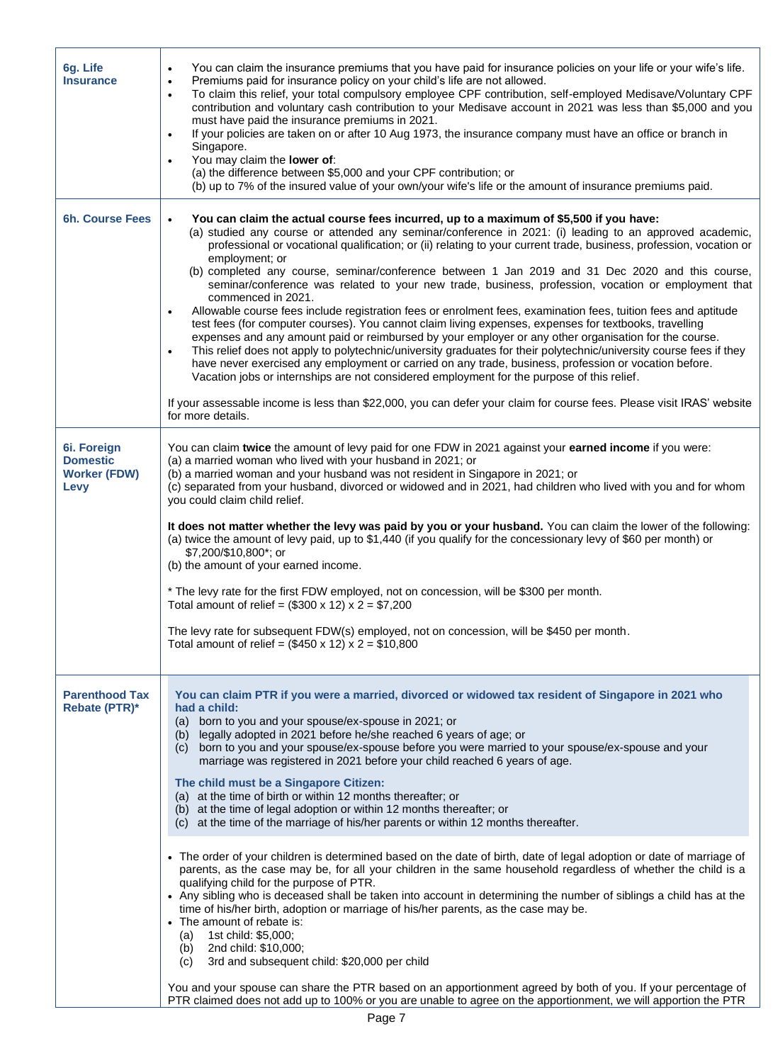| 6g. Life<br><b>Insurance</b>                                  | You can claim the insurance premiums that you have paid for insurance policies on your life or your wife's life.<br>$\bullet$<br>Premiums paid for insurance policy on your child's life are not allowed.<br>$\bullet$<br>To claim this relief, your total compulsory employee CPF contribution, self-employed Medisave/Voluntary CPF<br>$\bullet$<br>contribution and voluntary cash contribution to your Medisave account in 2021 was less than \$5,000 and you<br>must have paid the insurance premiums in 2021.<br>If your policies are taken on or after 10 Aug 1973, the insurance company must have an office or branch in<br>$\bullet$<br>Singapore.<br>You may claim the lower of:<br>$\bullet$<br>(a) the difference between \$5,000 and your CPF contribution; or<br>(b) up to 7% of the insured value of your own/your wife's life or the amount of insurance premiums paid.                                                                                                                                                                                                                                                                                                                                                                                                                                                                                                                                                                                           |
|---------------------------------------------------------------|------------------------------------------------------------------------------------------------------------------------------------------------------------------------------------------------------------------------------------------------------------------------------------------------------------------------------------------------------------------------------------------------------------------------------------------------------------------------------------------------------------------------------------------------------------------------------------------------------------------------------------------------------------------------------------------------------------------------------------------------------------------------------------------------------------------------------------------------------------------------------------------------------------------------------------------------------------------------------------------------------------------------------------------------------------------------------------------------------------------------------------------------------------------------------------------------------------------------------------------------------------------------------------------------------------------------------------------------------------------------------------------------------------------------------------------------------------------------------------|
| <b>6h. Course Fees</b>                                        | You can claim the actual course fees incurred, up to a maximum of \$5,500 if you have:<br>$\bullet$<br>(a) studied any course or attended any seminar/conference in 2021: (i) leading to an approved academic,<br>professional or vocational qualification; or (ii) relating to your current trade, business, profession, vocation or<br>employment; or<br>(b) completed any course, seminar/conference between 1 Jan 2019 and 31 Dec 2020 and this course,<br>seminar/conference was related to your new trade, business, profession, vocation or employment that<br>commenced in 2021.<br>Allowable course fees include registration fees or enrolment fees, examination fees, tuition fees and aptitude<br>$\bullet$<br>test fees (for computer courses). You cannot claim living expenses, expenses for textbooks, travelling<br>expenses and any amount paid or reimbursed by your employer or any other organisation for the course.<br>This relief does not apply to polytechnic/university graduates for their polytechnic/university course fees if they<br>$\bullet$<br>have never exercised any employment or carried on any trade, business, profession or vocation before.<br>Vacation jobs or internships are not considered employment for the purpose of this relief.<br>If your assessable income is less than \$22,000, you can defer your claim for course fees. Please visit IRAS' website<br>for more details.                                                |
| 6i. Foreign<br><b>Domestic</b><br><b>Worker (FDW)</b><br>Levy | You can claim twice the amount of levy paid for one FDW in 2021 against your earned income if you were:<br>(a) a married woman who lived with your husband in 2021; or<br>(b) a married woman and your husband was not resident in Singapore in 2021; or<br>(c) separated from your husband, divorced or widowed and in 2021, had children who lived with you and for whom<br>you could claim child relief.<br>It does not matter whether the levy was paid by you or your husband. You can claim the lower of the following:<br>(a) twice the amount of levy paid, up to \$1,440 (if you qualify for the concessionary levy of \$60 per month) or<br>\$7,200/\$10,800*; or<br>(b) the amount of your earned income.<br>* The levy rate for the first FDW employed, not on concession, will be \$300 per month.<br>Total amount of relief = $(\$300 \times 12) \times 2 = \$7,200$<br>The levy rate for subsequent FDW(s) employed, not on concession, will be \$450 per month.<br>Total amount of relief = $(\$450 \times 12) \times 2 = \$10,800$                                                                                                                                                                                                                                                                                                                                                                                                                                |
| <b>Parenthood Tax</b><br>Rebate (PTR)*                        | You can claim PTR if you were a married, divorced or widowed tax resident of Singapore in 2021 who<br>had a child:<br>(a) born to you and your spouse/ex-spouse in 2021; or<br>(b) legally adopted in 2021 before he/she reached 6 years of age; or<br>(c) born to you and your spouse/ex-spouse before you were married to your spouse/ex-spouse and your<br>marriage was registered in 2021 before your child reached 6 years of age.<br>The child must be a Singapore Citizen:<br>(a) at the time of birth or within 12 months thereafter; or<br>(b) at the time of legal adoption or within 12 months thereafter; or<br>(c) at the time of the marriage of his/her parents or within 12 months thereafter.<br>• The order of your children is determined based on the date of birth, date of legal adoption or date of marriage of<br>parents, as the case may be, for all your children in the same household regardless of whether the child is a<br>qualifying child for the purpose of PTR.<br>• Any sibling who is deceased shall be taken into account in determining the number of siblings a child has at the<br>time of his/her birth, adoption or marriage of his/her parents, as the case may be.<br>• The amount of rebate is:<br>1st child: \$5,000;<br>(a)<br>2nd child: \$10,000;<br>(b)<br>3rd and subsequent child: \$20,000 per child<br>(c)<br>You and your spouse can share the PTR based on an apportionment agreed by both of you. If your percentage of |

PTR claimed does not add up to 100% or you are unable to agree on the apportionment, we will apportion the PTR